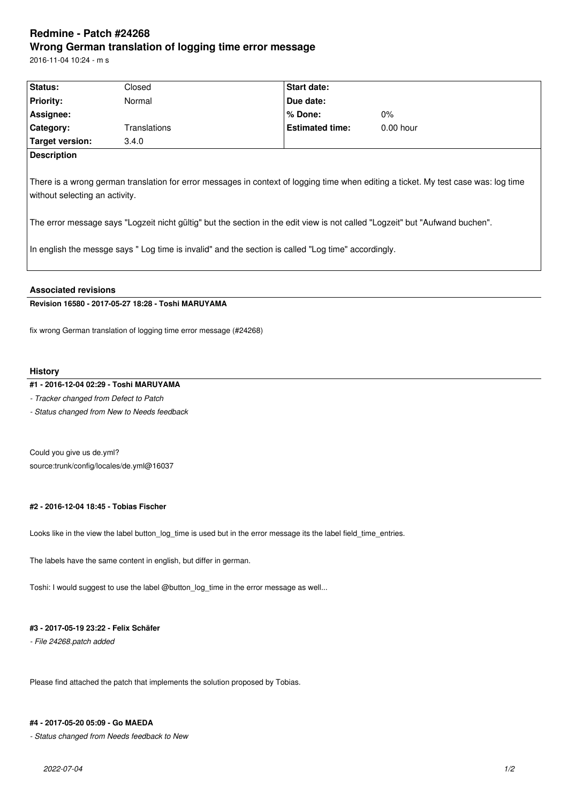# **Redmine - Patch #24268 Wrong German translation of logging time error message**

2016-11-04 10:24 - m s

| Status:                                                                                                                                                               | Closed       | Start date:            |             |  |  |
|-----------------------------------------------------------------------------------------------------------------------------------------------------------------------|--------------|------------------------|-------------|--|--|
| <b>Priority:</b>                                                                                                                                                      | Normal       | Due date:              |             |  |  |
| Assignee:                                                                                                                                                             |              | % Done:                | $0\%$       |  |  |
| <b>Category:</b>                                                                                                                                                      | Translations | <b>Estimated time:</b> | $0.00$ hour |  |  |
| Target version:                                                                                                                                                       | 3.4.0        |                        |             |  |  |
| <b>Description</b>                                                                                                                                                    |              |                        |             |  |  |
| There is a wrong german translation for error messages in context of logging time when editing a ticket. My test case was: log time<br>without selecting an activity. |              |                        |             |  |  |

The error message says "Logzeit nicht gültig" but the section in the edit view is not called "Logzeit" but "Aufwand buchen".

In english the messge says " Log time is invalid" and the section is called "Log time" accordingly.

#### **Associated revisions**

## **Revision 16580 - 2017-05-27 18:28 - Toshi MARUYAMA**

fix wrong German translation of logging time error message (#24268)

#### **History**

## **#1 - 2016-12-04 02:29 - Toshi MARUYAMA**

*- Tracker changed from Defect to Patch*

*- Status changed from New to Needs feedback*

Could you give us de.yml? source:trunk/config/locales/de.yml@16037

## **#2 - 2016-12-04 18:45 - Tobias Fischer**

Looks like in the view the label button\_log\_time is used but in the error message its the label field\_time\_entries.

The labels have the same content in english, but differ in german.

Toshi: I would suggest to use the label @button\_log\_time in the error message as well...

#### **#3 - 2017-05-19 23:22 - Felix Schäfer**

*- File 24268.patch added*

Please find attached the patch that implements the solution proposed by Tobias.

#### **#4 - 2017-05-20 05:09 - Go MAEDA**

*- Status changed from Needs feedback to New*